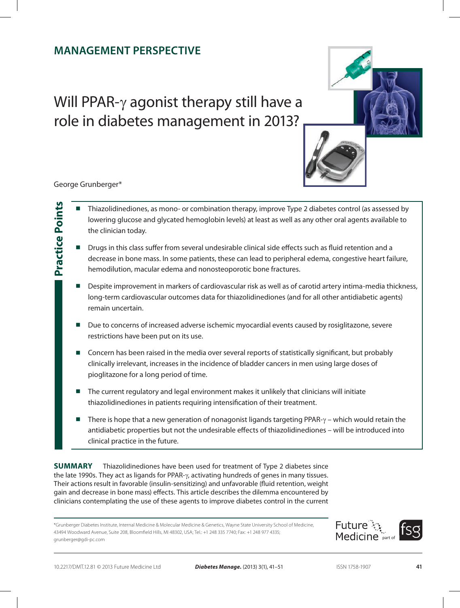# **Management Perspective**

Will PPAR- $\gamma$  agonist therapy still have a role in diabetes management in 2013?



George Grunberger\*

**Practice Points**

**Practice Points** 

- Thiazolidinediones, as mono- or combination therapy, improve Type 2 diabetes control (as assessed by lowering glucose and glycated hemoglobin levels) at least as well as any other oral agents available to the clinician today.
- Drugs in this class suffer from several undesirable clinical side effects such as fluid retention and a decrease in bone mass. In some patients, these can lead to peripheral edema, congestive heart failure, hemodilution, macular edema and nonosteoporotic bone fractures.
- Despite improvement in markers of cardiovascular risk as well as of carotid artery intima-media thickness, long-term cardiovascular outcomes data for thiazolidinediones (and for all other antidiabetic agents) remain uncertain.
- Due to concerns of increased adverse ischemic myocardial events caused by rosiglitazone, severe restrictions have been put on its use.
- Concern has been raised in the media over several reports of statistically significant, but probably clinically irrelevant, increases in the incidence of bladder cancers in men using large doses of pioglitazone for a long period of time.
- The current regulatory and legal environment makes it unlikely that clinicians will initiate thiazolidinediones in patients requiring intensification of their treatment.
- There is hope that a new generation of nonagonist ligands targeting PPAR- $\gamma$  which would retain the antidiabetic properties but not the undesirable effects of thiazolidinediones – will be introduced into clinical practice in the future.

**Summary** Thiazolidinediones have been used for treatment of Type 2 diabetes since the late 1990s. They act as ligands for PPAR- $\gamma$ , activating hundreds of genes in many tissues. Their actions result in favorable (insulin-sensitizing) and unfavorable (fluid retention, weight gain and decrease in bone mass) effects. This article describes the dilemma encountered by clinicians contemplating the use of these agents to improve diabetes control in the current

\*Grunberger Diabetes Institute, Internal Medicine & Molecular Medicine & Genetics, Wayne State University School of Medicine, 43494 Woodward Avenue, Suite 208, Bloomfield Hills, MI 48302, USA; Tel.: +1 248 335 7740; Fax: +1 248 977 4335; grunberger@gdi-pc.com

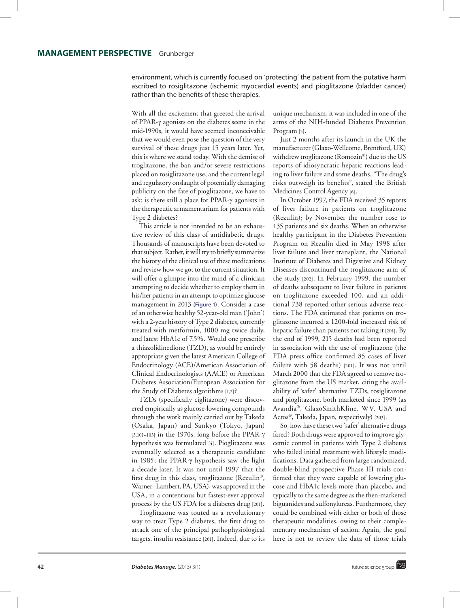environment, which is currently focused on 'protecting' the patient from the putative harm ascribed to rosiglitazone (ischemic myocardial events) and pioglitazone (bladder cancer) rather than the benefits of these therapies.

With all the excitement that greeted the arrival of PPAR‑g agonists on the diabetes scene in the mid-1990s, it would have seemed inconceivable that we would even pose the question of the very survival of these drugs just 15 years later. Yet, this is where we stand today. With the demise of troglitazone, the ban and/or severe restrictions placed on rosiglitazone use, and the current legal and regulatory onslaught of potentially damaging publicity on the fate of pioglitazone, we have to ask: is there still a place for PPAR‑g agonists in the therapeutic armamentarium for patients with Type 2 diabetes?

This article is not intended to be an exhaustive review of this class of antidiabetic drugs. Thousands of manuscripts have been devoted to that subject. Rather, it will try to briefly summarize the history of the clinical use of these medications and review how we got to the current situation. It will offer a glimpse into the mind of a clinician attempting to decide whether to employ them in his/her patients in an attempt to optimize glucose management in 2013 **(Figure 1)**. Consider a case of an otherwise healthy 52-year-old man ('John') with a 2‑year history of Type 2 diabetes, currently treated with metformin, 1000 mg twice daily, and latest HbA1c of 7.5%. Would one prescribe a thiazolidinedione (TZD), as would be entirely appropriate given the latest American College of Endocrinology (ACE)/American Association of Clinical Endocrinologists (AACE) or American Diabetes Association/European Association for the Study of Diabetes algorithms [1,2]?

TZDs (specifically ciglitazone) were discovered empirically as glucose-lowering compounds through the work mainly carried out by Takeda (Osaka, Japan) and Sankyo (Tokyo, Japan) [3,101-103] in the 1970s, long before the PPAR- $\gamma$ hypothesis was formulated [4]. Pioglitazone was eventually selected as a therapeutic candidate in 1985; the PPAR‑g hypothesis saw the light a decade later. It was not until 1997 that the first drug in this class, troglitazone (Rezulin®, Warner–Lambert, PA, USA), was approved in the USA, in a contentious but fastest-ever approval process by the US FDA for a diabetes drug [201].

Troglitazone was touted as a revolutionary way to treat Type 2 diabetes, the first drug to attack one of the principal pathophysiological targets, insulin resistance [201]. Indeed, due to its

unique mechanism, it was included in one of the arms of the NIH-funded Diabetes Prevention Program [5].

Just 2 months after its launch in the UK the manufacturer (Glaxo-Wellcome, Brentford, UK) withdrew troglitazone (Romozin®) due to the US reports of idiosyncratic hepatic reactions leading to liver failure and some deaths. "The drug's risks outweigh its benefits", stated the British Medicines Control Agency [6].

In October 1997, the FDA received 35 reports of liver failure in patients on troglitazone (Rezulin); by November the number rose to 135 patients and six deaths. When an otherwise healthy participant in the Diabetes Prevention Program on Rezulin died in May 1998 after liver failure and liver transplant, the National Institute of Diabetes and Digestive and Kidney Diseases discontinued the troglitazone arm of the study [202]. In February 1999, the number of deaths subsequent to liver failure in patients on troglitazone exceeded 100, and an additional 738 reported other serious adverse reactions. The FDA estimated that patients on troglitazone incurred a 1200-fold increased risk of hepatic failure than patients not taking it [201]. By the end of 1999, 215 deaths had been reported in association with the use of troglitazone (the FDA press office confirmed 85 cases of liver failure with 58 deaths) [201]. It was not until March 2000 that the FDA agreed to remove troglitazone from the US market, citing the availability of 'safer' alternative TZDs, rosiglitazone and pioglitazone, both marketed since 1999 (as Avandia®, GlaxoSmithKline, WV, USA and Actos®, Takeda, Japan, respectively) [203].

So, how have these two 'safer' alternative drugs fared? Both drugs were approved to improve glycemic control in patients with Type 2 diabetes who failed initial treatment with lifestyle modifications. Data gathered from large randomized, double-blind prospective Phase III trials confirmed that they were capable of lowering glucose and HbA1c levels more than placebo, and typically to the same degree as the then-marketed biguanides and sulfonylureas. Furthermore, they could be combined with either or both of those therapeutic modalities, owing to their complementary mechanism of action. Again, the goal here is not to review the data of those trials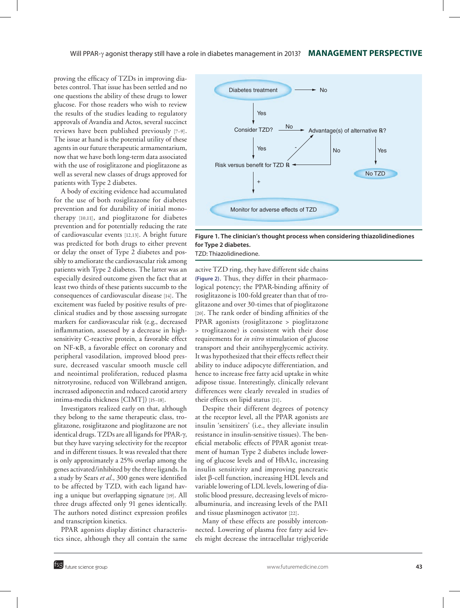proving the efficacy of TZDs in improving diabetes control. That issue has been settled and no one questions the ability of these drugs to lower glucose. For those readers who wish to review the results of the studies leading to regulatory approvals of Avandia and Actos, several succinct reviews have been published previously [7–9]. The issue at hand is the potential utility of these agents in our future therapeutic armamentarium, now that we have both long-term data associated with the use of rosiglitazone and pioglitazone as well as several new classes of drugs approved for patients with Type 2 diabetes.

A body of exciting evidence had accumulated for the use of both rosiglitazone for diabetes prevention and for durability of initial monotherapy [10,11], and pioglitazone for diabetes prevention and for potentially reducing the rate of cardiovascular events [12,13]. A bright future was predicted for both drugs to either prevent or delay the onset of Type 2 diabetes and possibly to ameliorate the cardiovascular risk among patients with Type 2 diabetes. The latter was an especially desired outcome given the fact that at least two thirds of these patients succumb to the consequences of cardiovascular disease [14]. The excitement was fueled by positive results of preclinical studies and by those assessing surrogate markers for cardiovascular risk (e.g., decreased inflammation, assessed by a decrease in highsensitivity C-reactive protein, a favorable effect on NF-kB, a favorable effect on coronary and peripheral vasodilation, improved blood pressure, decreased vascular smooth muscle cell and neointimal proliferation, reduced plasma nitrotyrosine, reduced von Willebrand antigen, increased adiponectin and reduced carotid artery intima‑media thickness [CIMT]) [15–18].

Investigators realized early on that, although they belong to the same therapeutic class, troglitazone, rosiglitazone and pioglitazone are not identical drugs. TZDs are all ligands for PPAR-γ, but they have varying selectivity for the receptor and in different tissues. It was revealed that there is only approximately a 25% overlap among the genes activated/inhibited by the three ligands. In a study by Sears *et al.*, 300 genes were identified to be affected by TZD, with each ligand having a unique but overlapping signature [19]. All three drugs affected only 91 genes identically. The authors noted distinct expression profiles and transcription kinetics.

PPAR agonists display distinct characteristics since, although they all contain the same



**Figure 1. The clinician's thought process when considering thiazolidinediones for Type 2 diabetes.** TZD: Thiazolidinedione.

active TZD ring, they have different side chains **(Figure 2)**. Thus, they differ in their pharmaco‑ logical potency; the PPAR-binding affinity of rosiglitazone is 100-fold greater than that of troglitazone and over 30-times that of pioglitazone [20]. The rank order of binding affinities of the PPAR agonists (rosiglitazone > pioglitazone > troglitazone) is consistent with their dose requirements for *in vitro* stimulation of glucose transport and their antihyperglycemic activity. It was hypothesized that their effects reflect their ability to induce adipocyte differentiation, and hence to increase free fatty acid uptake in white adipose tissue. Interestingly, clinically relevant differences were clearly revealed in studies of their effects on lipid status [21].

Despite their different degrees of potency at the receptor level, all the PPAR agonists are insulin 'sensitizers' (i.e., they alleviate insulin resistance in insulin-sensitive tissues). The beneficial metabolic effects of PPAR agonist treatment of human Type 2 diabetes include lowering of glucose levels and of HbA1c, increasing insulin sensitivity and improving pancreatic islet  $\beta$ -cell function, increasing HDL levels and variable lowering of LDL levels, lowering of diastolic blood pressure, decreasing levels of microalbuminuria, and increasing levels of the PAI1 and tissue plasminogen activator [22].

Many of these effects are possibly interconnected. Lowering of plasma free fatty acid levels might decrease the intracellular triglyceride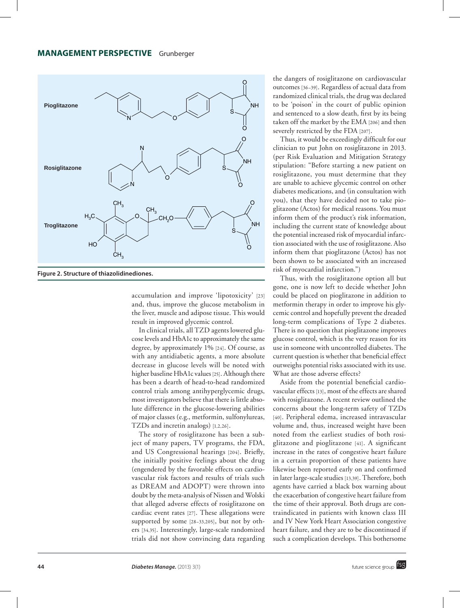### **MANAGEMENT PERSPECTIVE** Grunberger



**Figure 2. Structure of thiazolidinediones.**

accumulation and improve 'lipotoxicity' [23] and, thus, improve the glucose metabolism in the liver, muscle and adipose tissue. This would result in improved glycemic control.

In clinical trials, all TZD agents lowered glucose levels and HbA1c to approximately the same degree, by approximately 1% [24]. Of course, as with any antidiabetic agents, a more absolute decrease in glucose levels will be noted with higher baseline HbA1c values [25]. Although there has been a dearth of head-to-head randomized control trials among antihyperglycemic drugs, most investigators believe that there is little absolute difference in the glucose-lowering abilities of major classes (e.g., metformin, sulfonylureas, TZDs and incretin analogs) [1,2,26].

The story of rosiglitazone has been a subject of many papers, TV programs, the FDA, and US Congressional hearings [204]. Briefly, the initially positive feelings about the drug (engendered by the favorable effects on cardio‑ vascular risk factors and results of trials such as DREAM and ADOPT) were thrown into doubt by the meta-analysis of Nissen and Wolski that alleged adverse effects of rosiglitazone on cardiac event rates [27]. These allegations were supported by some  $[28-33,205]$ , but not by others [34,35]. Interestingly, large-scale randomized trials did not show convincing data regarding

the dangers of rosiglitazone on cardiovascular outcomes [36–39]. Regardless of actual data from randomized clinical trials, the drug was declared to be 'poison' in the court of public opinion and sentenced to a slow death, first by its being taken off the market by the EMA [206] and then severely restricted by the FDA [207].

Thus, it would be exceedingly difficult for our clinician to put John on rosiglitazone in 2013. (per Risk Evaluation and Mitigation Strategy stipulation: "Before starting a new patient on rosiglitazone, you must determine that they are unable to achieve glycemic control on other diabetes medications, and (in consultation with you), that they have decided not to take pioglitazone (Actos) for medical reasons. You must inform them of the product's risk information, including the current state of knowledge about the potential increased risk of myocardial infarction associated with the use of rosiglitazone. Also inform them that pioglitazone (Actos) has not been shown to be associated with an increased risk of myocardial infarction.")

Thus, with the rosiglitazone option all but gone, one is now left to decide whether John could be placed on pioglitazone in addition to metformin therapy in order to improve his glycemic control and hopefully prevent the dreaded long-term complications of Type 2 diabetes. There is no question that pioglitazone improves glucose control, which is the very reason for its use in someone with uncontrolled diabetes. The current question is whether that beneficial effect outweighs potential risks associated with its use. What are those adverse effects?

Aside from the potential beneficial cardiovascular effects [13], most of the effects are shared with rosiglitazone. A recent review outlined the concerns about the long-term safety of TZDs [40]. Peripheral edema, increased intravascular volume and, thus, increased weight have been noted from the earliest studies of both rosiglitazone and pioglitazone [41]. A significant increase in the rates of congestive heart failure in a certain proportion of these patients have likewise been reported early on and confirmed in later large-scale studies [13,39]. Therefore, both agents have carried a black box warning about the exacerbation of congestive heart failure from the time of their approval. Both drugs are contraindicated in patients with known class III and IV New York Heart Association congestive heart failure, and they are to be discontinued if such a complication develops. This bothersome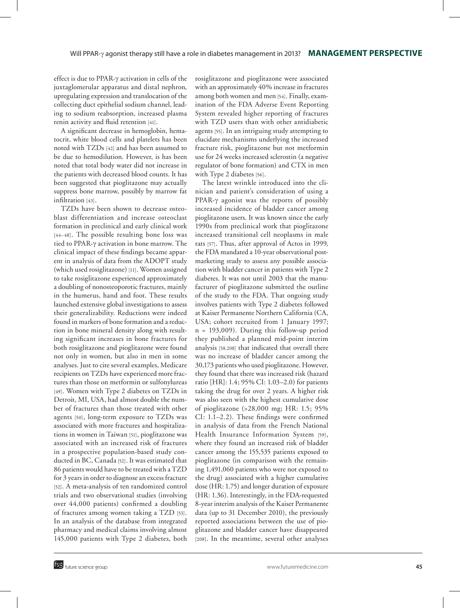effect is due to PPAR-γ activation in cells of the juxtaglomerular apparatus and distal nephron, upregulating expression and translocation of the collecting duct epithelial sodium channel, leading to sodium reabsorption, increased plasma renin activity and fluid retention [41].

A significant decrease in hemoglobin, hematocrit, white blood cells and platelets has been noted with TZDs [42] and has been assumed to be due to hemodilution. However, is has been noted that total body water did not increase in the patients with decreased blood counts. It has been suggested that pioglitazone may actually suppress bone marrow, possibly by marrow fat infiltration [43].

TZDs have been shown to decrease osteoblast differentiation and increase osteoclast formation in preclinical and early clinical work [44–48]. The possible resulting bone loss was tied to PPAR‑g activation in bone marrow. The clinical impact of these findings became apparent in analysis of data from the ADOPT study (which used rosiglitazone) [11]. Women assigned to take rosiglitazone experienced approximately a doubling of nonosteoporotic fractures, mainly in the humerus, hand and foot. These results launched extensive global investigations to assess their generalizability. Reductions were indeed found in markers of bone formation and a reduction in bone mineral density along with resulting significant increases in bone fractures for both rosiglitazone and pioglitazone were found not only in women, but also in men in some analyses. Just to cite several examples, Medicare recipients on TZDs have experienced more fractures than those on metformin or sulfonylureas [49]. Women with Type 2 diabetes on TZDs in Detroit, MI, USA, had almost double the number of fractures than those treated with other agents [50], long-term exposure to TZDs was associated with more fractures and hospitalizations in women in Taiwan [51], pioglitazone was associated with an increased risk of fractures in a prospective population-based study conducted in BC, Canada [52]. It was estimated that 86 patients would have to be treated with a TZD for 3 years in order to diagnose an excess fracture [52]. A meta-analysis of ten randomized control trials and two observational studies (involving over 44,000 patients) confirmed a doubling of fractures among women taking a TZD [53]. In an analysis of the database from integrated pharmacy and medical claims involving almost 145,000 patients with Type 2 diabetes, both

rosiglitazone and pioglitazone were associated with an approximately 40% increase in fractures among both women and men [54]. Finally, examination of the FDA Adverse Event Reporting System revealed higher reporting of fractures with TZD users than with other antidiabetic agents [55]. In an intriguing study attempting to elucidate mechanisms underlying the increased fracture risk, pioglitazone but not metformin use for 24 weeks increased sclerostin (a negative regulator of bone formation) and CTX in men with Type 2 diabetes [56].

The latest wrinkle introduced into the clinician and patient's consideration of using a PPAR- $\gamma$  agonist was the reports of possibly increased incidence of bladder cancer among pioglitazone users. It was known since the early 1990s from preclinical work that pioglitazone increased transitional cell neoplasms in male rats [57]. Thus, after approval of Actos in 1999, the FDA mandated a 10-year observational postmarketing study to assess any possible association with bladder cancer in patients with Type 2 diabetes. It was not until 2003 that the manufacturer of pioglitazone submitted the outline of the study to the FDA. That ongoing study involves patients with Type 2 diabetes followed at Kaiser Permanente Northern California (CA, USA; cohort recruited from 1 January 1997; n = 193,009). During this follow-up period they published a planned mid-point interim analysis [58,208] that indicated that overall there was no increase of bladder cancer among the 30,173 patients who used pioglitazone. However, they found that there was increased risk (hazard ratio [HR]: 1.4; 95% CI: 1.03–2.0) for patients taking the drug for over 2 years. A higher risk was also seen with the highest cumulative dose of pioglitazone (>28,000 mg; HR: 1.5; 95% CI: 1.1–2.2). These findings were confirmed in analysis of data from the French National Health Insurance Information System [59], where they found an increased risk of bladder cancer among the 155,535 patients exposed to pioglitazone (in comparison with the remaining 1,491,060 patients who were not exposed to the drug) associated with a higher cumulative dose (HR: 1.75) and longer duration of exposure (HR: 1.36). Interestingly, in the FDA-requested 8-year interim analysis of the Kaiser Permanente data (up to 31 December 2010), the previously reported associations between the use of pioglitazone and bladder cancer have disappeared [208]. In the meantime, several other analyses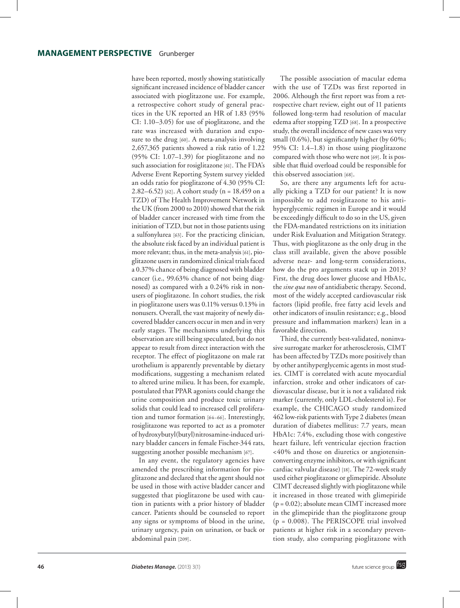have been reported, mostly showing statistically significant increased incidence of bladder cancer associated with pioglitazone use. For example, a retrospective cohort study of general practices in the UK reported an HR of 1.83 (95% CI: 1.10–3.05) for use of pioglitazone, and the rate was increased with duration and exposure to the drug [60]. A meta-analysis involving 2,657,365 patients showed a risk ratio of 1.22 (95% CI: 1.07–1.39) for pioglitazone and no such association for rosiglitazone [61]. The FDA's Adverse Event Reporting System survey yielded an odds ratio for pioglitazone of 4.30 (95% CI: 2.82–6.52) [62]. A cohort study (n = 18,459 on a TZD) of The Health Improvement Network in the UK (from 2000 to 2010) showed that the risk of bladder cancer increased with time from the initiation of TZD, but not in those patients using a sulfonylurea [63]. For the practicing clinician, the absolute risk faced by an individual patient is more relevant; thus, in the meta-analysis [61], pioglitazone users in randomized clinical trials faced a 0.37% chance of being diagnosed with bladder cancer (i.e., 99.63% chance of not being diagnosed) as compared with a 0.24% risk in nonusers of pioglitazone. In cohort studies, the risk in pioglitazone users was 0.11% versus 0.13% in nonusers. Overall, the vast majority of newly discovered bladder cancers occur in men and in very early stages. The mechanisms underlying this observation are still being speculated, but do not appear to result from direct interaction with the receptor. The effect of pioglitazone on male rat urothelium is apparently preventable by dietary modifications, suggesting a mechanism related to altered urine milieu. It has been, for example, postulated that PPAR agonists could change the urine composition and produce toxic urinary solids that could lead to increased cell proliferation and tumor formation [64–66]. Interestingly, rosiglitazone was reported to act as a promoter of hydroxybutyl(butyl)nitrosamine-induced urinary bladder cancers in female Fischer-344 rats, suggesting another possible mechanism [67].

In any event, the regulatory agencies have amended the prescribing information for pioglitazone and declared that the agent should not be used in those with active bladder cancer and suggested that pioglitazone be used with caution in patients with a prior history of bladder cancer. Patients should be counseled to report any signs or symptoms of blood in the urine, urinary urgency, pain on urination, or back or abdominal pain [209].

The possible association of macular edema with the use of TZDs was first reported in 2006. Although the first report was from a retrospective chart review, eight out of 11 patients followed long-term had resolution of macular edema after stopping TZD [68]. In a prospective study, the overall incidence of new cases was very small (0.6%), but significantly higher (by 60%; 95% CI: 1.4–1.8) in those using pioglitazone compared with those who were not [69]. It is possible that fluid overload could be responsible for this observed association [68].

So, are there any arguments left for actually picking a TZD for our patient? It is now impossible to add rosiglitazone to his antihyperglycemic regimen in Europe and it would be exceedingly difficult to do so in the US, given the FDA-mandated restrictions on its initiation under Risk Evaluation and Mitigation Strategy. Thus, with pioglitazone as the only drug in the class still available, given the above possible adverse near- and long-term considerations, how do the pro arguments stack up in 2013? First, the drug does lower glucose and HbA1c, the *sine qua non* of antidiabetic therapy. Second, most of the widely accepted cardiovascular risk factors (lipid profile, free fatty acid levels and other indicators of insulin resistance; e.g., blood pressure and inflammation markers) lean in a favorable direction.

Third, the currently best-validated, noninvasive surrogate marker for atherosclerosis, CIMT has been affected by TZDs more positively than by other antihyperglycemic agents in most studies. CIMT is correlated with acute myocardial infarction, stroke and other indicators of cardiovascular disease, but it is not a validated risk marker (currently, only LDL‑cholesterol is). For example, the CHICAGO study randomized 462 low-risk patients with Type 2 diabetes (mean duration of diabetes mellitus: 7.7 years, mean HbA1c: 7.4%, excluding those with congestive heart failure, left ventricular ejection fraction <40% and those on diuretics or angiotensinconverting enzyme inhibitors, or with significant cardiac valvular disease) [18]. The 72-week study used either pioglitazone or glimepiride. Absolute CIMT decreased slightly with pioglitazone while it increased in those treated with glimepiride (p = 0.02); absolute mean CIMT increased more in the glimepiride than the pioglitazone group (p = 0.008). The PERISCOPE trial involved patients at higher risk in a secondary prevention study, also comparing pioglitazone with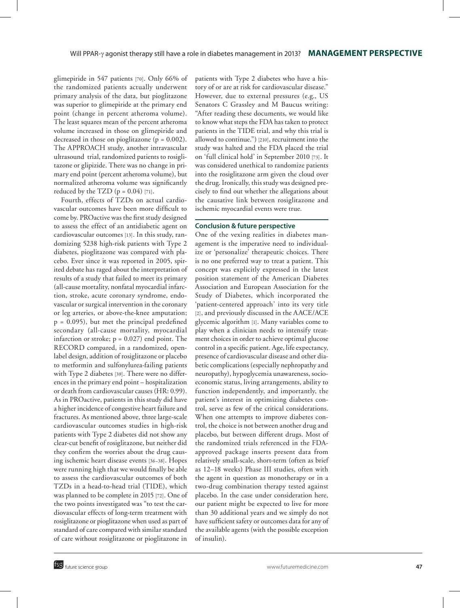glimepiride in 547 patients [70]. Only 66% of the randomized patients actually underwent primary analysis of the data, but pioglitazone was superior to glimepiride at the primary end point (change in percent atheroma volume). The least squares mean of the percent atheroma volume increased in those on glimepiride and decreased in those on pioglitazone ( $p = 0.002$ ). The APPROACH study, another intravascular ultrasound trial, randomized patients to rosiglitazone or glipizide. There was no change in primary end point (percent atheroma volume), but normalized atheroma volume was significantly reduced by the TZD  $(p = 0.04)$  [71].

Fourth, effects of TZDs on actual cardiovascular outcomes have been more difficult to come by. PROactive was the first study designed to assess the effect of an antidiabetic agent on cardiovascular outcomes [13]. In this study, randomizing 5238 high-risk patients with Type 2 diabetes, pioglitazone was compared with placebo. Ever since it was reported in 2005, spirited debate has raged about the interpretation of results of a study that failed to meet its primary (all-cause mortality, nonfatal myocardial infarc‑ tion, stroke, acute coronary syndrome, endovascular or surgical intervention in the coronary or leg arteries, or above-the-knee amputation;  $p = 0.095$ ), but met the principal predefined secondary (all-cause mortality, myocardial infarction or stroke;  $p = 0.027$ ) end point. The RECORD compared, in a randomized, openlabel design, addition of rosiglitazone or placebo to metformin and sulfonylurea-failing patients with Type 2 diabetes [39]. There were no differences in the primary end point – hospitalization or death from cardiovascular causes (HR: 0.99). As in PROactive, patients in this study did have a higher incidence of congestive heart failure and fractures. As mentioned above, three large-scale cardiovascular outcomes studies in high-risk patients with Type 2 diabetes did not show any clear-cut benefit of rosiglitazone, but neither did they confirm the worries about the drug causing ischemic heart disease events [36–38]. Hopes were running high that we would finally be able to assess the cardiovascular outcomes of both TZDs in a head-to-head trial (TIDE), which was planned to be complete in 2015 [72]. One of the two points investigated was "to test the cardiovascular effects of long-term treatment with rosiglitazone or pioglitazone when used as part of standard of care compared with similar standard of care without rosiglitazone or pioglitazone in

patients with Type 2 diabetes who have a history of or are at risk for cardiovascular disease." However, due to external pressures (e.g., US Senators C Grassley and M Baucus writing: "After reading these documents, we would like to know what steps the FDA has taken to protect patients in the TIDE trial, and why this trial is allowed to continue.") [210], recruitment into the study was halted and the FDA placed the trial on 'full clinical hold' in September 2010 [73]. It was considered unethical to randomize patients into the rosiglitazone arm given the cloud over the drug. Ironically, this study was designed precisely to find out whether the allegations about the causative link between rosiglitazone and ischemic myocardial events were true.

### **Conclusion & future perspective**

One of the vexing realities in diabetes management is the imperative need to individualize or 'personalize' therapeutic choices. There is no one preferred way to treat a patient. This concept was explicitly expressed in the latest position statement of the American Diabetes Association and European Association for the Study of Diabetes, which incorporated the 'patient-centered approach' into its very title [2], and previously discussed in the AACE/ACE glycemic algorithm [1]. Many variables come to play when a clinician needs to intensify treatment choices in order to achieve optimal glucose control in a specific patient. Age, life expectancy, presence of cardiovascular disease and other diabetic complications (especially nephropathy and neuropathy), hypoglycemia unawareness, socioeconomic status, living arrangements, ability to function independently, and importantly, the patient's interest in optimizing diabetes control, serve as few of the critical considerations. When one attempts to improve diabetes control, the choice is not between another drug and placebo, but between different drugs. Most of the randomized trials referenced in the FDAapproved package inserts present data from relatively small-scale, short-term (often as brief as 12–18 weeks) Phase III studies, often with the agent in question as monotherapy or in a two-drug combination therapy tested against placebo. In the case under consideration here, our patient might be expected to live for more than 30 additional years and we simply do not have sufficient safety or outcomes data for any of the available agents (with the possible exception of insulin).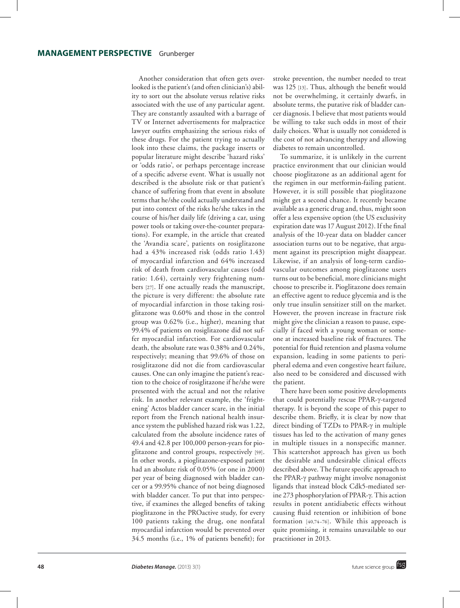Another consideration that often gets overlooked is the patient's (and often clinician's) ability to sort out the absolute versus relative risks associated with the use of any particular agent. They are constantly assaulted with a barrage of TV or Internet advertisements for malpractice lawyer outfits emphasizing the serious risks of these drugs. For the patient trying to actually look into these claims, the package inserts or popular literature might describe 'hazard risks' or 'odds ratio', or perhaps percentage increase of a specific adverse event. What is usually not described is the absolute risk or that patient's chance of suffering from that event in absolute terms that he/she could actually understand and put into context of the risks he/she takes in the course of his/her daily life (driving a car, using power tools or taking over-the-counter preparations). For example, in the article that created the 'Avandia scare', patients on rosiglitazone had a 43% increased risk (odds ratio 1.43) of myocardial infarction and 64% increased risk of death from cardiovascular causes (odd ratio: 1.64), certainly very frightening numbers [27]. If one actually reads the manuscript, the picture is very different: the absolute rate of myocardial infarction in those taking rosiglitazone was 0.60% and those in the control group was 0.62% (i.e., higher), meaning that 99.4% of patients on rosiglitazone did not suffer myocardial infarction. For cardiovascular death, the absolute rate was 0.38% and 0.24%, respectively; meaning that 99.6% of those on rosiglitazone did not die from cardiovascular causes. One can only imagine the patient's reaction to the choice of rosiglitazone if he/she were presented with the actual and not the relative risk. In another relevant example, the 'frightening' Actos bladder cancer scare, in the initial report from the French national health insurance system the published hazard risk was 1.22, calculated from the absolute incidence rates of 49.4 and 42.8 per 100,000 person-years for pioglitazone and control groups, respectively [59]. In other words, a pioglitazone-exposed patient had an absolute risk of 0.05% (or one in 2000) per year of being diagnosed with bladder cancer or a 99.95% chance of not being diagnosed with bladder cancer. To put that into perspective, if examines the alleged benefits of taking pioglitazone in the PROactive study, for every 100 patients taking the drug, one nonfatal myocardial infarction would be prevented over 34.5 months (i.e., 1% of patients benefit); for

stroke prevention, the number needed to treat was 125 [13]. Thus, although the benefit would not be overwhelming, it certainly dwarfs, in absolute terms, the putative risk of bladder cancer diagnosis. I believe that most patients would be willing to take such odds in most of their daily choices. What is usually not considered is the cost of not advancing therapy and allowing diabetes to remain uncontrolled.

To summarize, it is unlikely in the current practice environment that our clinician would choose pioglitazone as an additional agent for the regimen in our metformin-failing patient. However, it is still possible that pioglitazone might get a second chance. It recently became available as a generic drug and, thus, might soon offer a less expensive option (the US exclusivity expiration date was 17 August 2012). If the final analysis of the 10-year data on bladder cancer association turns out to be negative, that argument against its prescription might disappear. Likewise, if an analysis of long-term cardiovascular outcomes among pioglitazone users turns out to be beneficial, more clinicians might choose to prescribe it. Pioglitazone does remain an effective agent to reduce glycemia and is the only true insulin sensitizer still on the market. However, the proven increase in fracture risk might give the clinician a reason to pause, especially if faced with a young woman or someone at increased baseline risk of fractures. The potential for fluid retention and plasma volume expansion, leading in some patients to peripheral edema and even congestive heart failure, also need to be considered and discussed with the patient.

There have been some positive developments that could potentially rescue PPAR‑g-targeted therapy. It is beyond the scope of this paper to describe them. Briefly, it is clear by now that direct binding of TZDs to PPAR‑g in multiple tissues has led to the activation of many genes in multiple tissues in a nonspecific manner. This scattershot approach has given us both the desirable and undesirable clinical effects described above. The future specific approach to the PPAR-γ pathway might involve nonagonist ligands that instead block Cdk5-mediated serine 273 phosphorylation of PPAR‑g. This action results in potent antidiabetic effects without causing fluid retention or inhibition of bone formation [40,74–76]. While this approach is quite promising, it remains unavailable to our practitioner in 2013.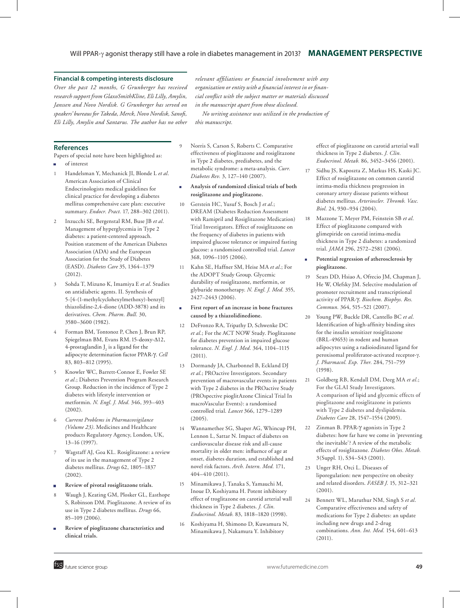## Will PPAR-y agonist therapy still have a role in diabetes management in 2013? **MANAGEMENT PERSPECTIVE**

*in the manuscript apart from those disclosed.*

*relevant affiliations or financial involvement with any organization or entity with a financial interest in or financial conflict with the subject matter or materials discussed* 

*No writing assistance was utilized in the production of* 

#### **Financial & competing interests disclosure**

*Over the past 12 months, G Grunberger has received research support from GlaxoSmithKline, Eli Lilly, Amylin, Janssen and Novo Nordisk. G Grunberger has served on speakers' bureaus for Takeda, Merck, Novo Nordisk, Sanofi, Eli Lilly, Amylin and Santarus. The author has no other* 

**References**

Papers of special note have been highlighted as:

- <sup>n</sup> of interest
- 1 Handelsman Y, Mechanick JI, Blonde L *et al*. American Association of Clinical Endocrinologists medical guidelines for clinical practice for developing a diabetes mellitus comprehensive care plan: executive summary. *Endocr. Pract.* 17, 288–302 (2011).
- 2 Inzucchi SE, Bergenstal RM, Buse JB *et al*. Management of hyperglycemia in Type 2 diabetes: a patient-centered approach. Position statement of the American Diabetes Association (ADA) and the European Association for the Study of Diabetes (EASD). *Diabetes Care* 35, 1364–1379 (2012).
- 3 Sohda T, Mizuno K, Imamiya E *et al*. Studies on antidiabetic agents. II. Synthesis of 5-[4-(1-methylcyclohexylmethoxy)-benzyl] thiazolidine-2,4-dione (ADD-3878) and its derivatives. *Chem. Pharm. Bull.* 30, 3580–3600 (1982).
- 4 Forman BM, Tontonoz P, Chen J, Brun RP, Spiegelman BM, Evans RM. 15-deoxy-Δ12, 4-prostaglandin  $J_2$  is a ligand for the adipocyte determination factor PPAR‑g. *Cell*  83, 803–812 (1995).
- 5 Knowler WC, Barrett-Connor E, Fowler SE *et al.*; Diabetes Prevention Program Research Group. Reduction in the incidence of Type 2 diabetes with lifestyle intervention or metformin. *N. Engl. J. Med.* 346, 393–403 (2002).
- 6 *Current Problems in Pharmacovigilance (Volume 23)*. Medicines and Healthcare products Regulatory Agency, London, UK, 13–16 (1997).
- 7 Wagstaff AJ, Goa KL. Rosiglitazone: a review of its use in the management of Type 2 diabetes mellitus. *Drugs* 62, 1805–1837 (2002).
- <sup>n</sup> **Review of pivotal rosiglitazone trials.**
- Waugh J, Keating GM, Plosker GL, Easthope S, Robinson DM. Pioglitazone. A review of its use in Type 2 diabetes mellitus. *Drugs* 66, 85–109 (2006).
- <sup>n</sup> **Review of pioglitazone characteristics and clinical trials.**

9 Norris S, Carson S, Roberts C. Comparative effectiveness of pioglitazone and rosiglitazone in Type 2 diabetes, prediabetes, and the metabolic syndrome: a meta-analysis. *Curr. Diabetes Rev.* 3, 127–140 (2007).

*this manuscript.*

- <sup>n</sup> **Analysis of randomized clinical trials of both rosiglitazone and pioglitazone.**
- 10 Gerstein HC, Yusuf S, Bosch J *et al*.; DREAM (Diabetes Reduction Assessment with Ramipril and Rosiglitazone Medication) Trial Investigators. Effect of rosiglitazone on the frequency of diabetes in patients with impaired glucose tolerance or impaired fasting glucose: a randomised controlled trial. *Lancet*  368, 1096–1105 (2006).
- 11 Kahn SE, Haffner SM, Heise MA *et al*.; For the ADOPT Study Group. Glycemic durability of rosiglitazone, metformin, or glyburide monotherapy. *N. Engl. J. Med.* 355, 2427–2443 (2006).
- First report of an increase in bone fractures **caused by a thiazolidinedione.**
- 12 DeFronzo RA, Tripathy D, Schwenke DC *et al*.; For the ACT NOW Study. Pioglitazone for diabetes prevention in impaired glucose tolerance. *N. Engl. J. Med.* 364, 1104–1115 (2011).
- 13 Dormandy JA, Charbonnel B, Eckland DJ *et al*.; PROactive Investigators. Secondary prevention of macrovascular events in patients with Type 2 diabetes in the PROactive Study (PROspective pioglitAzone Clinical Trial In macroVascular Events): a randomised controlled trial. *Lancet* 366, 1279–1289 (2005).
- 14 Wannamethee SG, Shaper AG, Whincup PH, Lennon L, Sattar N. Impact of diabetes on cardiovascular disease risk and all-cause mortality in older men: influence of age at onset, diabetes duration, and established and novel risk factors. *Arch. Intern. Med.* 171, 404–410 (2011).
- 15 Minamikawa J, Tanaka S, Yamauchi M, Inoue D, Koshiyama H. Potent inhibitory effect of troglitazone on carotid arterial wall thickness in Type 2 diabetes. *J. Clin. Endocrinol. Metab.* 83, 1818–1820 (1998).
- 16 Koshiyama H, Shimono D, Kuwamura N, Minamikawa J, Nakamura Y. Inhibitory

effect of pioglitazone on carotid arterial wall thickness in Type 2 diabetes. *J. Clin. Endocrinol. Metab.* 86, 3452–3456 (2001).

- 17 Sidhu JS, Kaposzta Z, Markus HS, Kaski JC. Effect of rosiglitazone on common carotid intima-media thickness progression in coronary artery disease patients without diabetes mellitus. *Arterioscler. Thromb. Vasc. Biol.* 24, 930–934 (2004).
- 18 Mazzone T, Meyer PM, Feinstein SB *et al*. Effect of pioglitazone compared with glimepiride on carotid intima-media thickness in Type 2 diabetes: a randomized trial. *JAMA* 296, 2572–2581 (2006).
- Potential regression of atherosclerosis by **pioglitazone.**
- 19 Sears DD, Hsiao A, Ofrecio JM, Chapman J, He W, Olefsky JM. Selective modulation of promoter recruitment and transcriptional activity of PPAR‑g. *Biochem. Biophys. Res. Commun.* 364, 515–521 (2007).
- 20 Young PW, Buckle DR, Cantello BC *et al*. Identification of high-affinity binding sites for the insulin sensitizer rosiglitazone (BRL‑49653) in rodent and human adipocytes using a radioiodinated ligand for peroxisomal proliferator-activated receptor‑g. *J. Pharmacol. Exp. Ther.* 284, 751–759 (1998).
- 21 Goldberg RB, Kendall DM, Deeg MA *et al*.; For the GLAI Study Investigators. A comparison of lipid and glycemic effects of pioglitazone and rosiglitazone in patients with Type 2 diabetes and dyslipidemia. *Diabetes Care* 28, 1547–1554 (2005).
- 22 Zinman B. PPAR- $\gamma$  agonists in Type 2 diabetes: how far have we come in 'preventing the inevitable'? A review of the metabolic effects of rosiglitazone. *Diabetes Obes. Metab.* 3(Suppl. 1), S34–S43 (2001).
- 23 Unger RH, Orci L. Diseases of liporegulation: new perspective on obesity and related disorders. *FASEB J.* 15, 312–321 (2001).
- 24 Bennett WL, Maruthur NM, Singh S *et al*. Comparative effectiveness and safety of medications for Type 2 diabetes: an update including new drugs and 2-drug combinations. *Ann. Int. Med.* 154, 601–613 (2011).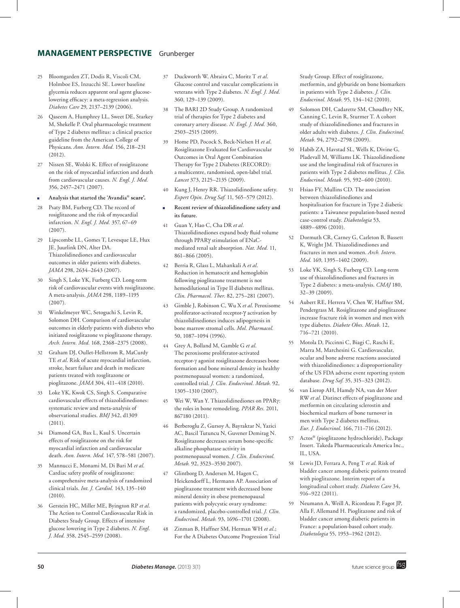## **MANAGEMENT PERSPECTIVE** Grunberger

- 25 Bloomgarden ZT, Dodis R, Viscoli CM, Holmboe ES, Inzucchi SE. Lower baseline glycemia reduces apparent oral agent glucoselowering efficacy: a meta-regression analysis. *Diabetes Care* 29, 2137–2139 (2006).
- 26 Qaseem A, Humphrey LL, Sweet DE, Starkey M, Shekelle P. Oral pharmacologic treatment of Type 2 diabetes mellitus: a clinical practice guideline from the American College of Physicans. *Ann. Intern. Med.* 156, 218–231 (2012).
- 27 Nissen SE, Wolski K. Effect of rosiglitazone on the risk of myocardial infarction and death from cardiovascular causes. *N. Engl. J. Med.* 356, 2457–2471 (2007).
- <sup>n</sup> **Analysis that started the 'Avandia® scare'.**
- 28 Psaty BM, Furberg CD. The record of rosiglitazone and the risk of myocardial infarction. *N. Engl. J. Med.* 357, 67–69 (2007).
- 29 Lipscombe LL, Gomes T, Levesque LE, Hux JE, Juurlink DN, Alter DA. Thiazolidinediones and cardiovascular outcomes in older patients with diabetes. *JAMA* 298, 2634–2643 (2007).
- 30 Singh S, Loke YK, Furberg CD. Long-term risk of cardiovascular events with rosiglitazone. A meta-analysis. *JAMA* 298, 1189–1195 (2007).
- 31 Winkelmeyer WC, Setoguchi S, Levin R, Solomon DH. Comparison of cardiovascular outcomes in elderly patients with diabetes who initiated rosiglitazone vs pioglitazone therapy. *Arch. Intern. Med.* 168, 2368–2375 (2008).
- 32 Graham DJ, Oullet-Hellstrom R, MaCurdy TE *et al*. Risk of acute myocardial infarction, stroke, heart failure and death in medicare patients treated with rosglitazone or pioglitazone. *JAMA* 304, 411–418 (2010).
- Loke YK, Kwok CS, Singh S. Comparative cardiovascular effects of thiazolidinediones: systematic review and meta-analysis of observational studies. *BMJ* 342, d1309 (2011).
- 34 Diamond GA, Bax L, Kaul S. Uncertain effects of rosiglitazone on the risk for myocardial infarction and cardiovascular death. *Ann. Intern. Med.* 147, 578–581 (2007).
- 35 Mannucci E, Monami M, Di Bari M *et al*. Cardiac safety profile of rosiglitazone: a comprehensive meta-analysis of randomized clinical trials. *Int. J. Cardiol.* 143, 135–140 (2010).
- 36 Gerstein HC, Miller ME, Byington RP *et al.*  The Action to Control Cardiovascular Risk in Diabetes Study Group. Effects of intensive glucose lowering in Type 2 diabetes. *N. Engl. J. Med.* 358, 2545–2559 (2008).
- 37 Duckworth W, Abraira C, Moritz T *et al*. Glucose control and vascular complications in veterans with Type 2 diabetes. *N. Engl. J. Med.* 360, 129–139 (2009).
- 38 The BARI 2D Study Group. A randomized trial of therapies for Type 2 diabetes and coronary artery disease. *N. Engl. J. Med.* 360, 2503–2515 (2009).
- 39 Home PD, Pocock S, Beck-Nielsen H *et al*. Rosiglitazone Evaluated for Cardiovascular Outcomes in Oral Agent Combination Therapy for Type 2 Diabetes (RECORD): a multicentre, randomised, open-label trial. *Lancet* 373, 2125–2135 (2009).
- 40 Kung J, Henry RR. Thiazolidinedione safety. *Expert Opin. Drug Saf.* 11, 565–579 (2012).
- <sup>n</sup> **Recent review of thiazolidinedione safety and its future.**
- 41 Guan Y, Hao C, Cha DR *et al*. Thiazolidinediones expand body fluid volume through PPARg stimulation of ENaCmediated renal salt absorption. *Nat. Med.* 11, 861–866 (2005).
- 42 Berria R, Glass L, Mahankali A *et al*. Reduction in hematocrit and hemoglobin following pioglitazone treatment is not hemodilutional in Type II diabetes mellitus. *Clin. Pharmacol. Ther.* 82, 275–281 (2007).
- 43 Gimble J, Robinson C, Wu X *et al*. Peroxisome proliferator-activated receptor- $\gamma$  activation by thiazolidinediones induces adipogenesis in bone marrow stromal cells. *Mol. Pharmacol.* 50, 1087–1094 (1996).
- 44 Grey A, Bolland M, Gamble G *et al*. The peroxisome proliferator-activated receptor-g agonist rosiglitazone decreases bone formation and bone mineral density in healthy postmenopausal women: a randomized, controlled trial. *J. Clin. Endocrinol. Metab.* 92, 1305–1310 (2007).
- 45 Wei W, Wan Y. Thiazolidinediones on PPARg: the roles in bone remodeling. *PPAR Res.* 2011, 867180 (2011).
- 46 Berberoglu Z, Gursoy A, Bayraktar N, Yazici AC, Bascil Tutuncu N, Guvener Demirag N. Rosiglitazone decreases serum bone-specific alkaline phosphatase activity in postmenopausal women. *J. Clin. Endocrinol. Metab.* 92, 3523–3530 2007).
- 47 Glintborg D, Andersen M, Hagen C, Heickendorff L, Hermann AP. Association of pioglitazone treatment with decreased bone mineral density in obese premenopausal patients with polycystic ovary syndrome: a randomized, placebo-controlled trial. *J. Clin. Endocrinol. Metab.* 93, 1696–1701 (2008).
- 48 Zinman B, Haffner SM, Herman WH *et al*.; For the A Diabetes Outcome Progression Trial

Study Group. Effect of rosiglitazone, metformin, and glyburide on bone biomarkers in patients with Type 2 diabetes. *J. Clin. Endocrinol. Metab.* 95, 134–142 (2010).

- 49 Solomon DH, Cadarette SM, Choudhry NK, Canning C, Levin R, Sturmer T. A cohort study of thiazolidinediones and fractures in older adults with diabetes. *J. Clin. Endocrinol. Metab.* 94, 2792–2798 (2009).
- 50 Habib ZA, Havstad SL, Wells K, Divine G, Pladevall M, Williams LK. Thiazolidinedione use and the longitudinal risk of fractures in patients with Type 2 diabetes mellitus. *J. Clin. Endocrinol. Metab.* 95, 592–600 (2010).
- 51 Hsiao FY, Mullins CD. The association between thiazolidinediones and hospitalisation for fracture in Type 2 diabetic patients: a Taiwanese population-based nested case-control study. *Diabetologia* 53, 4889–4896 (2010).
- 52 Dormuth CR, Carney G, Carleton B, Bassett K, Wright JM. Thiazolidinediones and fractures in men and women. *Arch. Intern. Med.* 169, 1395–1402 (2009).
- 53 Loke YK, Singh S, Furberg CD. Long-term use of thiazolidinediones and fractures in Type 2 diabetes: a meta-analysis. *CMAJ* 180, 32–39 (2009).
- 54 Aubert RE, Herrera V, Chen W, Haffner SM, Pendergrass M. Rosiglitazone and pioglitazone increase fracture risk in women and men with type diabetes. *Diabete Obes. Metab.* 12, 716–721 (2010).
- 55 Motola D, Piccinni C, Biagi C, Raschi E, Marra M, Marchesini G. Cardiovascular, ocular and bone adverse reactions associated with thiazolidinediones: a disproportionality of the US FDA adverse event reporting system database. *Drug Saf.* 35, 315–323 (2012).
- 56 van Lierop AH, Hamdy NA, van der Meer RW *et al*. Distinct effects of pioglitazone and metformin on circulating sclerostin and biochemical markers of bone turnover in men with Type 2 diabetes mellitus. *Eur. J. Endocrinol.* 166, 711–716 (2012).
- 57 Actos® (pioglitazone hydrochloride), Package Insert. Takeda Pharmaceuticals America Inc., IL, USA.
- 58 Lewis JD, Ferrara A, Peng T *et al*. Risk of bladder cancer among diabetic patients treated with pioglitazone. Interim report of a longitudinal cohort study. *Diabetes Care* 34, 916–922 (2011).
- 59 Neumann A, Weill A, Ricordeau P, Fagot JP, Alla F, Allemand H. Pioglitazone and risk of bladder cancer among diabetic patients in France: a population-based cohort study. *Diabetologia* 55, 1953–1962 (2012).